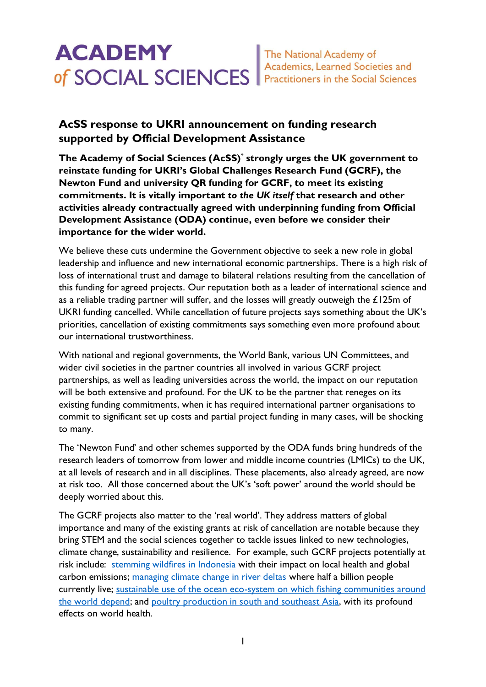## **AcSS response to UKRI announcement on funding research supported by Official Development Assistance**

**The Academy of Social Sciences (AcSS) \* strongly urges the UK government to reinstate funding for UKRI's Global Challenges Research Fund (GCRF), the Newton Fund and university QR funding for GCRF, to meet its existing commitments. It is vitally important** *to the UK itself* **that research and other activities already contractually agreed with underpinning funding from Official Development Assistance (ODA) continue, even before we consider their importance for the wider world.**

We believe these cuts undermine the Government objective to seek a new role in global leadership and influence and new international economic partnerships. There is a high risk of loss of international trust and damage to bilateral relations resulting from the cancellation of this funding for agreed projects. Our reputation both as a leader of international science and as a reliable trading partner will suffer, and the losses will greatly outweigh the £125m of UKRI funding cancelled. While cancellation of future projects says something about the UK's priorities, cancellation of existing commitments says something even more profound about our international trustworthiness.

With national and regional governments, the World Bank, various UN Committees, and wider civil societies in the partner countries all involved in various GCRF project partnerships, as well as leading universities across the world, the impact on our reputation will be both extensive and profound. For the UK to be the partner that reneges on its existing funding commitments, when it has required international partner organisations to commit to significant set up costs and partial project funding in many cases, will be shocking to many.

The 'Newton Fund' and other schemes supported by the ODA funds bring hundreds of the research leaders of tomorrow from lower and middle income countries (LMICs) to the UK, at all levels of research and in all disciplines. These placements, also already agreed, are now at risk too. All those concerned about the UK's 'soft power' around the world should be deeply worried about this.

The GCRF projects also matter to the 'real world'. They address matters of global importance and many of the existing grants at risk of cancellation are notable because they bring STEM and the social sciences together to tackle issues linked to new technologies, climate change, sustainability and resilience. For example, such GCRF projects potentially at risk include: [stemming wildfires in Indonesia](https://gtr.ukri.org/projects?ref=NE%2FT010401%2F1) with their impact on local health and global carbon emissions; [managing climate change in river deltas](https://gtr.ukri.org/projects?ref=NE%2FS008926%2F1) where half a billion people currently live; [sustainable use of the ocean eco-system](https://gtr.ukri.org/projects?ref=NE%2FS008950%2F1) on which fishing communities around the world depend; and [poultry production in south and southeast Asia,](https://gtr.ukri.org/projects?ref=BB%2FS011269%2F1) with its profound effects on world health.